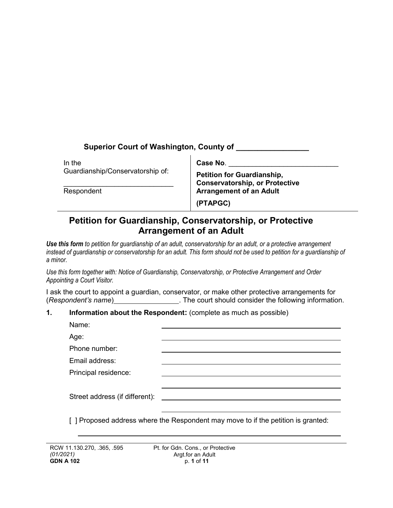| <b>Superior Court of Washington, County of</b> |                                                                            |  |
|------------------------------------------------|----------------------------------------------------------------------------|--|
| In the                                         | Case No.                                                                   |  |
| Guardianship/Conservatorship of:               | <b>Petition for Guardianship,</b><br><b>Conservatorship, or Protective</b> |  |
| Respondent                                     | <b>Arrangement of an Adult</b>                                             |  |
|                                                | (PTAPGC)                                                                   |  |

# **Petition for Guardianship, Conservatorship, or Protective Arrangement of an Adult**

*Use this form to petition for guardianship of an adult, conservatorship for an adult, or a protective arrangement instead of guardianship or conservatorship for an adult. This form should not be used to petition for a guardianship of a minor.*

*Use this form together with: Notice of Guardianship, Conservatorship, or Protective Arrangement and Order Appointing a Court Visitor.* 

I ask the court to appoint a guardian, conservator, or make other protective arrangements for (*Respondent's name*) . The court should consider the following information.

# **1. Information about the Respondent:** (complete as much as possible)

| Name:                          |  |
|--------------------------------|--|
| Age:                           |  |
| Phone number:                  |  |
| Email address:                 |  |
| Principal residence:           |  |
|                                |  |
| Street address (if different): |  |
|                                |  |

[] Proposed address where the Respondent may move to if the petition is granted: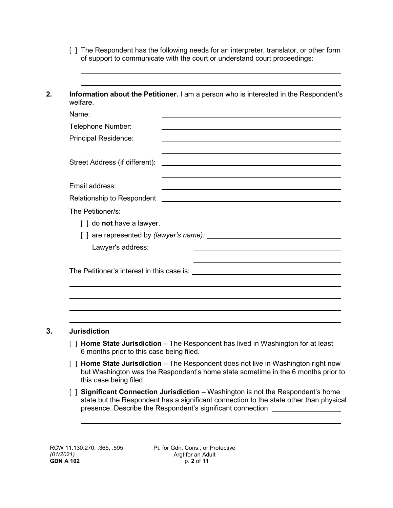- [ ] The Respondent has the following needs for an interpreter, translator, or other form of support to communicate with the court or understand court proceedings:
- **2. Information about the Petitioner.** I am a person who is interested in the Respondent's welfare.

| Name:                                                                                                                                                                                                                                              |
|----------------------------------------------------------------------------------------------------------------------------------------------------------------------------------------------------------------------------------------------------|
| Telephone Number:                                                                                                                                                                                                                                  |
| <b>Principal Residence:</b>                                                                                                                                                                                                                        |
|                                                                                                                                                                                                                                                    |
| Street Address (if different):                                                                                                                                                                                                                     |
|                                                                                                                                                                                                                                                    |
| Email address:                                                                                                                                                                                                                                     |
|                                                                                                                                                                                                                                                    |
| The Petitioner/s:                                                                                                                                                                                                                                  |
| [ ] do <b>not</b> have a lawyer.                                                                                                                                                                                                                   |
| [] are represented by (lawyer's name): [2010]                                                                                                                                                                                                      |
| Lawyer's address:<br>the control of the control of the control of the control of the control of the control of the control of the control of the control of the control of the control of the control of the control of the control of the control |
|                                                                                                                                                                                                                                                    |
|                                                                                                                                                                                                                                                    |
|                                                                                                                                                                                                                                                    |
|                                                                                                                                                                                                                                                    |
|                                                                                                                                                                                                                                                    |
|                                                                                                                                                                                                                                                    |

# **3. Jurisdiction**

- [ ] **Home State Jurisdiction**  The Respondent has lived in Washington for at least 6 months prior to this case being filed.
- [ ] **Home State Jurisdiction** The Respondent does not live in Washington right now but Washington was the Respondent's home state sometime in the 6 months prior to this case being filed.
- [ ] **Significant Connection Jurisdiction** Washington is not the Respondent's home state but the Respondent has a significant connection to the state other than physical presence. Describe the Respondent's significant connection: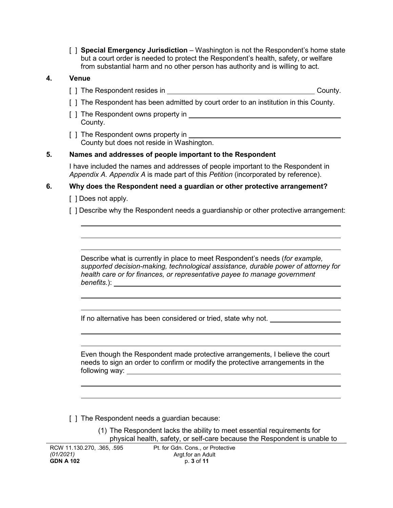[ ] **Special Emergency Jurisdiction** – Washington is not the Respondent's home state but a court order is needed to protect the Respondent's health, safety, or welfare from substantial harm and no other person has authority and is willing to act.

#### **4. Venue**

- [ ] The Respondent resides in County.
- [ ] The Respondent has been admitted by court order to an institution in this County.
- [ ] The Respondent owns property in County.
- [ ] The Respondent owns property in County but does not reside in Washington.

#### **5. Names and addresses of people important to the Respondent**

I have included the names and addresses of people important to the Respondent in *Appendix A. Appendix A* is made part of this *Petition* (incorporated by reference).

#### **6. Why does the Respondent need a guardian or other protective arrangement?**

[ ] Does not apply.

[ ] Describe why the Respondent needs a guardianship or other protective arrangement:

Describe what is currently in place to meet Respondent's needs (*for example, supported decision-making, technological assistance, durable power of attorney for health care or for finances, or representative payee to manage government benefits.*):

If no alternative has been considered or tried, state why not.

Even though the Respondent made protective arrangements, I believe the court needs to sign an order to confirm or modify the protective arrangements in the following way:

[ ] The Respondent needs a guardian because:

(1) The Respondent lacks the ability to meet essential requirements for physical health, safety, or self-care because the Respondent is unable to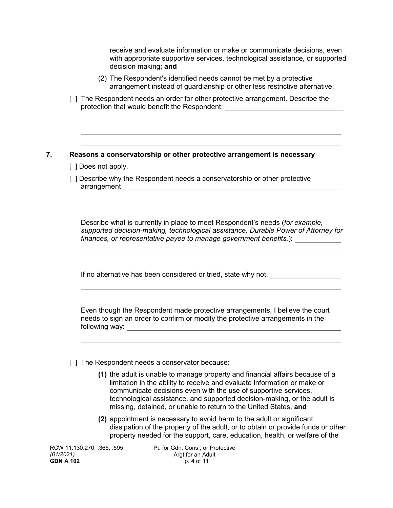receive and evaluate information or make or communicate decisions, even with appropriate supportive services, technological assistance, or supported decision making; **and**

- (2) The Respondent's identified needs cannot be met by a protective arrangement instead of guardianship or other less restrictive alternative.
- [ ] The Respondent needs an order for other protective arrangement. Describe the protection that would benefit the Respondent:

#### **7. Reasons a conservatorship or other protective arrangement is necessary**

- [ ] Does not apply.
- [ ] Describe why the Respondent needs a conservatorship or other protective arrangement expression and the set of the set of the set of the set of the set of the set of the set of the set of the set of the set of the set of the set of the set of the set of the set of the set of the set of the set

Describe what is currently in place to meet Respondent's needs (*for example, supported decision-making, technological assistance, Durable Power of Attorney for finances, or representative payee to manage government benefits.*):

If no alternative has been considered or tried, state why not. \_\_\_\_\_\_\_\_\_\_\_\_\_\_\_\_\_

Even though the Respondent made protective arrangements, I believe the court needs to sign an order to confirm or modify the protective arrangements in the following way:

[ ] The Respondent needs a conservator because:

- **(1)** the adult is unable to manage property and financial affairs because of a limitation in the ability to receive and evaluate information or make or communicate decisions even with the use of supportive services, technological assistance, and supported decision-making, or the adult is missing, detained, or unable to return to the United States, **and**
- **(2)** appointment is necessary to avoid harm to the adult or significant dissipation of the property of the adult, or to obtain or provide funds or other property needed for the support, care, education, health, or welfare of the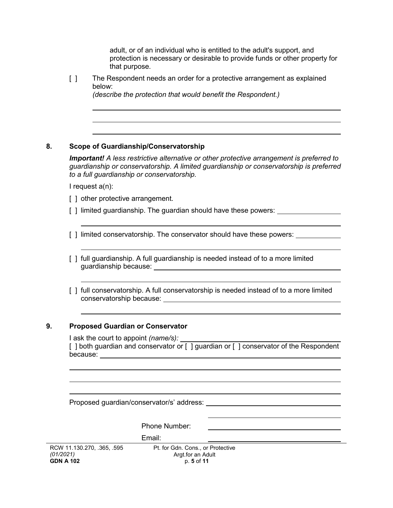adult, or of an individual who is entitled to the adult's support, and protection is necessary or desirable to provide funds or other property for that purpose.

[ ] The Respondent needs an order for a protective arrangement as explained below:

*(describe the protection that would benefit the Respondent.)*

#### **8. Scope of Guardianship/Conservatorship**

*Important! A less restrictive alternative or other protective arrangement is preferred to guardianship or conservatorship. A limited guardianship or conservatorship is preferred to a full guardianship or conservatorship.*

I request a(n):

[] other protective arrangement.

[ ] limited guardianship. The guardian should have these powers: \_\_\_\_\_\_\_\_\_\_\_\_\_\_\_

[] limited conservatorship. The conservator should have these powers:

- [] full guardianship. A full guardianship is needed instead of to a more limited guardianship because:
- [ ] full conservatorship. A full conservatorship is needed instead of to a more limited conservatorship because:

#### **9. Proposed Guardian or Conservator**

I ask the court to appoint *(name/s):* [] both guardian and conservator or [] guardian or [] conservator of the Respondent because: when the set of the set of the set of the set of the set of the set of the set of the set of the set of the set of the set of the set of the set of the set of the set of the set of the set of the set of the set of

Proposed guardian/conservator/s' address:

|                                                             | The pool guaranteen value againso.                                   |  |
|-------------------------------------------------------------|----------------------------------------------------------------------|--|
|                                                             |                                                                      |  |
|                                                             | Phone Number:                                                        |  |
|                                                             | Email:                                                               |  |
| RCW 11.130.270, .365, .595<br>(01/2021)<br><b>GDN A 102</b> | Pt. for Gdn. Cons., or Protective<br>Argt.for an Adult<br>p. 5 of 11 |  |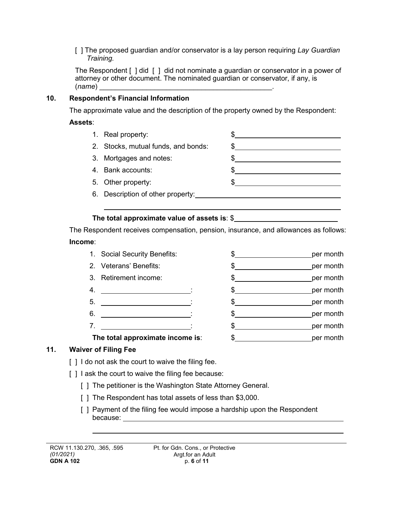[ ] The proposed guardian and/or conservator is a lay person requiring *Lay Guardian Training.*

The Respondent [ ] did [ ] did not nominate a guardian or conservator in a power of attorney or other document. The nominated guardian or conservator, if any, is (*name*) \_\_\_\_\_\_\_\_\_\_\_\_\_\_\_\_\_\_\_\_\_\_\_\_\_\_\_\_\_\_\_\_\_\_\_\_\_\_\_\_\_\_\_\_.

#### **10. Respondent's Financial Information**

The approximate value and the description of the property owned by the Respondent:

#### **Assets**:

1. Real property:  $\qquad \qquad \text{\$}$ 2. Stocks, mutual funds, and bonds:  $\qquad \qquad \text{\$}$ 3. Mortgages and notes: \$ 4. Bank accounts: \$ 5. Other property: \$ 6. Description of other property:

#### **The total approximate value of assets is**: \$

The Respondent receives compensation, pension, insurance, and allowances as follows: **Income**:

- 1. Social Security Benefits:  $\frac{1}{2}$   $\frac{1}{2}$   $\frac{1}{2}$  per month
- 2. Veterans' Benefits:  $\frac{1}{2}$   $\frac{1}{2}$   $\frac{1}{2}$  per month
- 3. Retirement income:  $\frac{1}{2}$   $\frac{1}{2}$   $\frac{1}{2}$  per month
- 4.  $\frac{1}{2}$  :  $\frac{1}{2}$  ber month
- 5. : \$ per month
- 6. : \$ per month
- 7. : \$ per month
- **The total approximate income is:**  $\frac{1}{2}$  **\$** per month

# **11. Waiver of Filing Fee**

- [] I do not ask the court to waive the filing fee.
- [] I ask the court to waive the filing fee because:
	- [ ] The petitioner is the Washington State Attorney General.
	- [] The Respondent has total assets of less than \$3,000.
	- [ ] Payment of the filing fee would impose a hardship upon the Respondent because: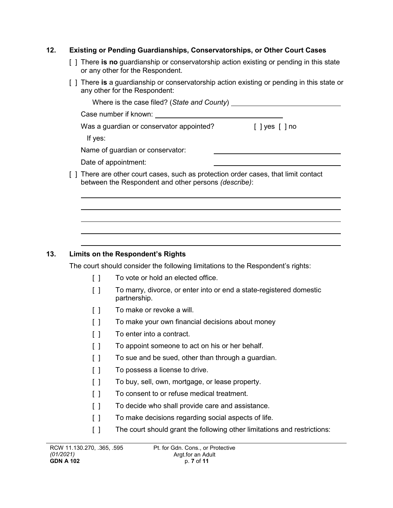#### **12. Existing or Pending Guardianships, Conservatorships, or Other Court Cases**

- [ ] There **is no** guardianship or conservatorship action existing or pending in this state or any other for the Respondent.
- [ ] There **is** a guardianship or conservatorship action existing or pending in this state or any other for the Respondent:

| Where is the case filed? (State and County) ___                                                                                             |                                            |
|---------------------------------------------------------------------------------------------------------------------------------------------|--------------------------------------------|
| Case number if known:                                                                                                                       |                                            |
| Was a guardian or conservator appointed?                                                                                                    | $\lceil$ $\lceil$ yes $\lceil$ $\rceil$ no |
| If yes:                                                                                                                                     |                                            |
| Name of guardian or conservator:                                                                                                            |                                            |
| Date of appointment:                                                                                                                        |                                            |
| [ ] There are other court cases, such as protection order cases, that limit contact<br>between the Respondent and other persons (describe): |                                            |
|                                                                                                                                             |                                            |

# **13. Limits on the Respondent's Rights**

The court should consider the following limitations to the Respondent's rights:

- [ ] To vote or hold an elected office.
- [ ] To marry, divorce, or enter into or end a state-registered domestic partnership.
- [ ] To make or revoke a will.
- [ ] To make your own financial decisions about money
- [ ] To enter into a contract.
- [ ] To appoint someone to act on his or her behalf.
- [ ] To sue and be sued, other than through a guardian.
- [ ] To possess a license to drive.
- [ ] To buy, sell, own, mortgage, or lease property.
- [ ] To consent to or refuse medical treatment.
- [ ] To decide who shall provide care and assistance.
- [ ] To make decisions regarding social aspects of life.
- [ ] The court should grant the following other limitations and restrictions: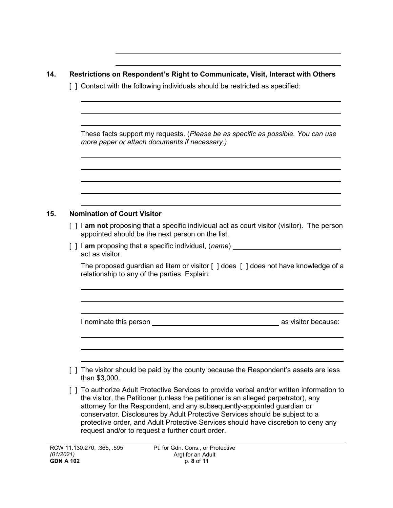| 14. | Restrictions on Respondent's Right to Communicate, Visit, Interact with Others<br>[] Contact with the following individuals should be restricted as specified: |                                                                                                                                                                                                                                                                                                                                             |  |  |
|-----|----------------------------------------------------------------------------------------------------------------------------------------------------------------|---------------------------------------------------------------------------------------------------------------------------------------------------------------------------------------------------------------------------------------------------------------------------------------------------------------------------------------------|--|--|
|     |                                                                                                                                                                |                                                                                                                                                                                                                                                                                                                                             |  |  |
|     |                                                                                                                                                                | These facts support my requests. (Please be as specific as possible. You can use<br>more paper or attach documents if necessary.)                                                                                                                                                                                                           |  |  |
|     |                                                                                                                                                                |                                                                                                                                                                                                                                                                                                                                             |  |  |
| 15. |                                                                                                                                                                | <b>Nomination of Court Visitor</b>                                                                                                                                                                                                                                                                                                          |  |  |
|     |                                                                                                                                                                | $\lceil$   $\lceil$ am not proposing that a specific individual act as court visitor (visitor). The person<br>appointed should be the next person on the list.                                                                                                                                                                              |  |  |
|     |                                                                                                                                                                | [] I am proposing that a specific individual, (name) ___________________________<br>act as visitor.                                                                                                                                                                                                                                         |  |  |
|     |                                                                                                                                                                | The proposed guardian ad litem or visitor [ ] does [ ] does not have knowledge of a<br>relationship to any of the parties. Explain:                                                                                                                                                                                                         |  |  |
|     |                                                                                                                                                                |                                                                                                                                                                                                                                                                                                                                             |  |  |
|     |                                                                                                                                                                |                                                                                                                                                                                                                                                                                                                                             |  |  |
|     |                                                                                                                                                                |                                                                                                                                                                                                                                                                                                                                             |  |  |
|     |                                                                                                                                                                | The visitor should be paid by the county because the Respondent's assets are less<br>than \$3,000.                                                                                                                                                                                                                                          |  |  |
|     |                                                                                                                                                                | [ ] To authorize Adult Protective Services to provide verbal and/or written information to<br>the visitor, the Petitioner (unless the petitioner is an alleged perpetrator), any<br>attorney for the Respondent, and any subsequently-appointed guardian or<br>conservator. Disclosures by Adult Protective Services should be subject to a |  |  |

request and/or to request a further court order.

protective order, and Adult Protective Services should have discretion to deny any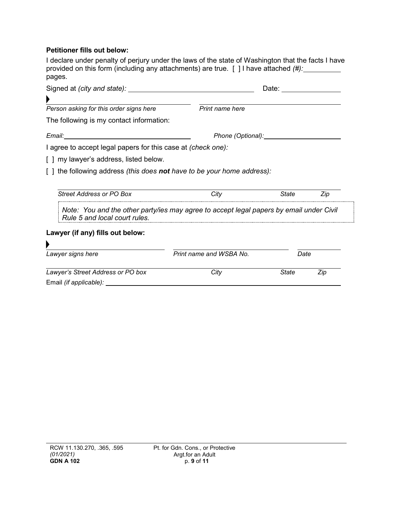#### **Petitioner fills out below:**

I declare under penalty of perjury under the laws of the state of Washington that the facts I have provided on this form (including any attachments) are true. [ ] I have attached *(#):* pages.

|                                                                     |                                                                                         | Date: the contract of the contract of the contract of the contract of the contract of the contract of the contract of the contract of the contract of the contract of the contract of the contract of the contract of the cont |     |  |
|---------------------------------------------------------------------|-----------------------------------------------------------------------------------------|--------------------------------------------------------------------------------------------------------------------------------------------------------------------------------------------------------------------------------|-----|--|
|                                                                     |                                                                                         |                                                                                                                                                                                                                                |     |  |
| Person asking for this order signs here                             | Print name here                                                                         |                                                                                                                                                                                                                                |     |  |
| The following is my contact information:                            |                                                                                         |                                                                                                                                                                                                                                |     |  |
|                                                                     | Phone (Optional): Phone (Optional)                                                      |                                                                                                                                                                                                                                |     |  |
| I agree to accept legal papers for this case at <i>(check one):</i> |                                                                                         |                                                                                                                                                                                                                                |     |  |
| [ ] my lawyer's address, listed below.                              |                                                                                         |                                                                                                                                                                                                                                |     |  |
| the following address (this does not have to be your home address): |                                                                                         |                                                                                                                                                                                                                                |     |  |
|                                                                     |                                                                                         |                                                                                                                                                                                                                                |     |  |
| Street Address or PO Box                                            | City                                                                                    | State                                                                                                                                                                                                                          | Zip |  |
| Rule 5 and local court rules.                                       | Note: You and the other party/ies may agree to accept legal papers by email under Civil |                                                                                                                                                                                                                                |     |  |
| Lawyer (if any) fills out below:                                    |                                                                                         |                                                                                                                                                                                                                                |     |  |
|                                                                     |                                                                                         |                                                                                                                                                                                                                                |     |  |
| Lawyer signs here                                                   | Print name and WSBA No.                                                                 | Date                                                                                                                                                                                                                           |     |  |
| Lawyer's Street Address or PO box                                   | City                                                                                    | <b>State</b>                                                                                                                                                                                                                   | Zip |  |
| Email (if applicable):                                              |                                                                                         |                                                                                                                                                                                                                                |     |  |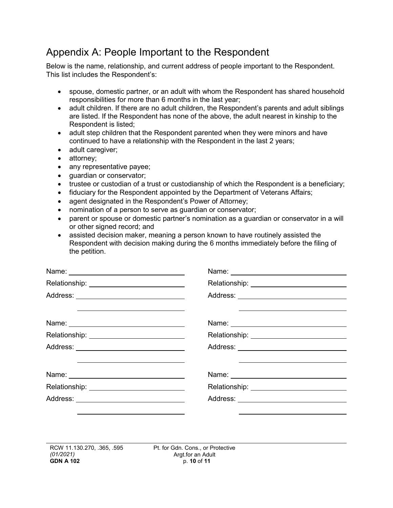# Appendix A: People Important to the Respondent

Below is the name, relationship, and current address of people important to the Respondent. This list includes the Respondent's:

- spouse, domestic partner, or an adult with whom the Respondent has shared household responsibilities for more than 6 months in the last year;
- adult children. If there are no adult children, the Respondent's parents and adult siblings are listed. If the Respondent has none of the above, the adult nearest in kinship to the Respondent is listed;
- adult step children that the Respondent parented when they were minors and have continued to have a relationship with the Respondent in the last 2 years;
- adult caregiver;
- attorney;
- any representative payee;
- guardian or conservator;
- trustee or custodian of a trust or custodianship of which the Respondent is a beneficiary;
- fiduciary for the Respondent appointed by the Department of Veterans Affairs;
- agent designated in the Respondent's Power of Attorney;
- nomination of a person to serve as guardian or conservator;
- parent or spouse or domestic partner's nomination as a guardian or conservator in a will or other signed record; and
- assisted decision maker, meaning a person known to have routinely assisted the Respondent with decision making during the 6 months immediately before the filing of the petition.

|                                                                                                                       | Name: 2008 2009 2010 2021 2022 2023 2024 2022 2023 2024 2022 2023 2024 2022 2023 2024 2022 2023 2024 2022 2023 |
|-----------------------------------------------------------------------------------------------------------------------|----------------------------------------------------------------------------------------------------------------|
|                                                                                                                       |                                                                                                                |
|                                                                                                                       |                                                                                                                |
| <u> 1989 - Johann Harry Harry Harry Harry Harry Harry Harry Harry Harry Harry Harry Harry Harry Harry Harry Harry</u> |                                                                                                                |
|                                                                                                                       |                                                                                                                |
|                                                                                                                       |                                                                                                                |
|                                                                                                                       |                                                                                                                |
| Relationship: ______________________________                                                                          |                                                                                                                |
| Address: _____ ____________________________                                                                           |                                                                                                                |